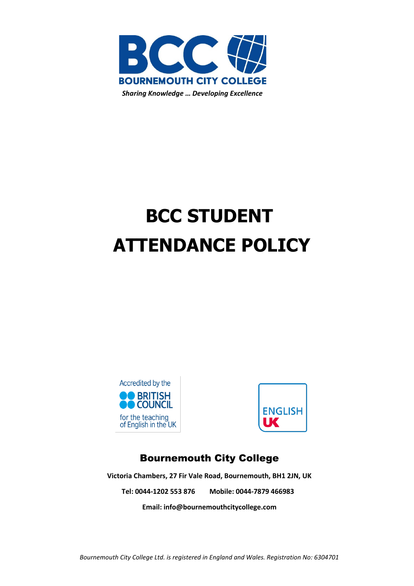

# **BCC STUDENT ATTENDANCE POLICY**





# Bournemouth City College

**Victoria Chambers, 27 Fir Vale Road, Bournemouth, BH1 2JN, UK Tel: 0044-1202 553 876 Mobile: 0044-7879 466983**

**Email: [info@bournemouthcitycollege.com](mailto:info@bournemouthcitycollege.com)**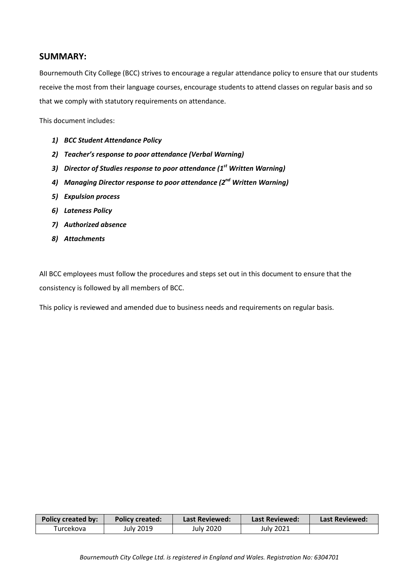# **SUMMARY:**

Bournemouth City College (BCC) strives to encourage a regular attendance policy to ensure that our students receive the most from their language courses, encourage students to attend classes on regular basis and so that we comply with statutory requirements on attendance.

This document includes:

- *1) BCC Student Attendance Policy*
- *2) Teacher's response to poor attendance (Verbal Warning)*
- *3) Director of Studies response to poor attendance (1st Written Warning)*
- *4) Managing Director response to poor attendance (2nd Written Warning)*
- *5) Expulsion process*
- *6) Lateness Policy*
- *7) Authorized absence*
- *8) Attachments*

All BCC employees must follow the procedures and steps set out in this document to ensure that the consistency is followed by all members of BCC.

This policy is reviewed and amended due to business needs and requirements on regular basis.

| <b>Policy created by:</b> | <b>Policy created:</b> | Last Reviewed: | <b>Last Reviewed:</b> | Last Reviewed: |
|---------------------------|------------------------|----------------|-----------------------|----------------|
| Turcekova                 | July 2019              | July 2020      | <b>July 2021</b>      |                |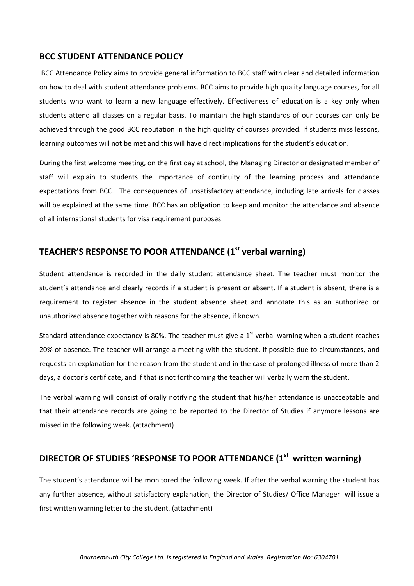## **BCC STUDENT ATTENDANCE POLICY**

BCC Attendance Policy aims to provide general information to BCC staff with clear and detailed information on how to deal with student attendance problems. BCC aims to provide high quality language courses, for all students who want to learn a new language effectively. Effectiveness of education is a key only when students attend all classes on a regular basis. To maintain the high standards of our courses can only be achieved through the good BCC reputation in the high quality of courses provided. If students miss lessons, learning outcomes will not be met and this will have direct implications for the student's education.

During the first welcome meeting, on the first day at school, the Managing Director or designated member of staff will explain to students the importance of continuity of the learning process and attendance expectations from BCC. The consequences of unsatisfactory attendance, including late arrivals for classes will be explained at the same time. BCC has an obligation to keep and monitor the attendance and absence of all international students for visa requirement purposes.

# **TEACHER'S RESPONSE TO POOR ATTENDANCE (1st verbal warning)**

Student attendance is recorded in the daily student attendance sheet. The teacher must monitor the student's attendance and clearly records if a student is present or absent. If a student is absent, there is a requirement to register absence in the student absence sheet and annotate this as an authorized or unauthorized absence together with reasons for the absence, if known.

Standard attendance expectancy is 80%. The teacher must give a  $1<sup>st</sup>$  verbal warning when a student reaches 20% of absence. The teacher will arrange a meeting with the student, if possible due to circumstances, and requests an explanation for the reason from the student and in the case of prolonged illness of more than 2 days, a doctor's certificate, and if that is not forthcoming the teacher will verbally warn the student.

The verbal warning will consist of orally notifying the student that his/her attendance is unacceptable and that their attendance records are going to be reported to the Director of Studies if anymore lessons are missed in the following week. (attachment)

# **DIRECTOR OF STUDIES 'RESPONSE TO POOR ATTENDANCE (1st written warning)**

The student's attendance will be monitored the following week. If after the verbal warning the student has any further absence, without satisfactory explanation, the Director of Studies/ Office Manager will issue a first written warning letter to the student. (attachment)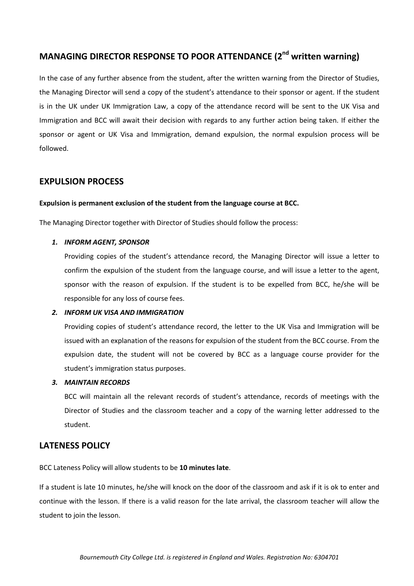# **MANAGING DIRECTOR RESPONSE TO POOR ATTENDANCE (2nd written warning)**

In the case of any further absence from the student, after the written warning from the Director of Studies, the Managing Director will send a copy of the student's attendance to their sponsor or agent. If the student is in the UK under UK Immigration Law, a copy of the attendance record will be sent to the UK Visa and Immigration and BCC will await their decision with regards to any further action being taken. If either the sponsor or agent or UK Visa and Immigration, demand expulsion, the normal expulsion process will be followed.

# **EXPULSION PROCESS**

#### **Expulsion is permanent exclusion of the student from the language course at BCC.**

The Managing Director together with Director of Studies should follow the process:

### *1. INFORM AGENT, SPONSOR*

Providing copies of the student's attendance record, the Managing Director will issue a letter to confirm the expulsion of the student from the language course, and will issue a letter to the agent, sponsor with the reason of expulsion. If the student is to be expelled from BCC, he/she will be responsible for any loss of course fees.

#### *2. INFORM UK VISA AND IMMIGRATION*

Providing copies of student's attendance record, the letter to the UK Visa and Immigration will be issued with an explanation of the reasons for expulsion of the student from the BCC course. From the expulsion date, the student will not be covered by BCC as a language course provider for the student's immigration status purposes.

#### *3. MAINTAIN RECORDS*

BCC will maintain all the relevant records of student's attendance, records of meetings with the Director of Studies and the classroom teacher and a copy of the warning letter addressed to the student.

# **LATENESS POLICY**

BCC Lateness Policy will allow students to be **10 minutes late**.

If a student is late 10 minutes, he/she will knock on the door of the classroom and ask if it is ok to enter and continue with the lesson. If there is a valid reason for the late arrival, the classroom teacher will allow the student to join the lesson.